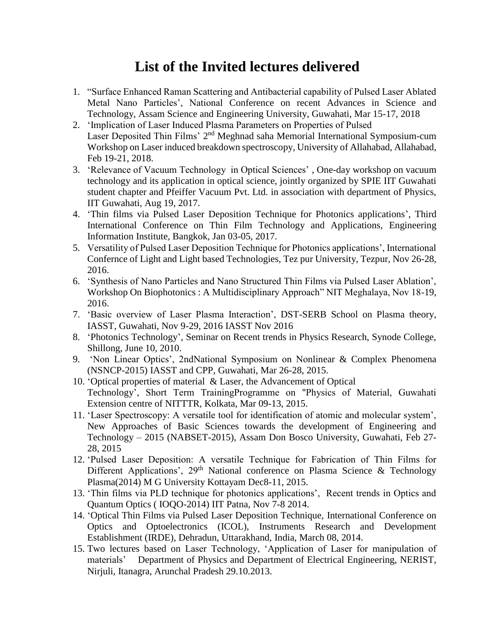## **List of the Invited lectures delivered**

- 1. "Surface Enhanced Raman Scattering and Antibacterial capability of Pulsed Laser Ablated Metal Nano Particles', National Conference on recent Advances in Science and Technology, Assam Science and Engineering University, Guwahati, Mar 15-17, 2018
- 2. 'Implication of Laser Induced Plasma Parameters on Properties of Pulsed Laser Deposited Thin Films' 2<sup>nd</sup> Meghnad saha Memorial International Symposium-cum Workshop on Laser induced breakdown spectroscopy, University of Allahabad, Allahabad, Feb 19-21, 2018.
- 3. 'Relevance of Vacuum Technology in Optical Sciences' , One-day workshop on vacuum technology and its application in optical science, jointly organized by SPIE IIT Guwahati student chapter and Pfeiffer Vacuum Pvt. Ltd. in association with department of Physics, IIT Guwahati, Aug 19, 2017.
- 4. 'Thin films via Pulsed Laser Deposition Technique for Photonics applications', Third International Conference on Thin Film Technology and Applications, Engineering Information Institute, Bangkok, Jan 03-05, 2017.
- 5. Versatility of Pulsed Laser Deposition Technique for Photonics applications', International Confernce of Light and Light based Technologies, Tez pur University, Tezpur, Nov 26-28, 2016.
- 6. 'Synthesis of Nano Particles and Nano Structured Thin Films via Pulsed Laser Ablation', Workshop On Biophotonics : A Multidisciplinary Approach" NIT Meghalaya, Nov 18-19, 2016.
- 7. 'Basic overview of Laser Plasma Interaction', DST-SERB School on Plasma theory, IASST, Guwahati, Nov 9-29, 2016 IASST Nov 2016
- 8. 'Photonics Technology', Seminar on Recent trends in Physics Research, Synode College, Shillong, June 10, 2010.
- 9. 'Non Linear Optics', 2ndNational Symposium on Nonlinear & Complex Phenomena (NSNCP-2015) IASST and CPP, Guwahati, Mar 26-28, 2015.
- 10. 'Optical properties of material & Laser, the Advancement of Optical Technology', Short Term TrainingProgramme on "Physics of Material, Guwahati Extension centre of NITTTR, Kolkata, Mar 09-13, 2015.
- 11. 'Laser Spectroscopy: A versatile tool for identification of atomic and molecular system', New Approaches of Basic Sciences towards the development of Engineering and Technology – 2015 (NABSET-2015), Assam Don Bosco University, Guwahati, Feb 27- 28, 2015
- 12. 'Pulsed Laser Deposition: A versatile Technique for Fabrication of Thin Films for Different Applications',  $29<sup>th</sup>$  National conference on Plasma Science & Technology Plasma(2014) M G University Kottayam Dec8-11, 2015.
- 13. 'Thin films via PLD technique for photonics applications', Recent trends in Optics and Quantum Optics ( IOQO-2014) IIT Patna, Nov 7-8 2014.
- 14. 'Optical Thin Films via Pulsed Laser Deposition Technique, International Conference on Optics and Optoelectronics (ICOL), Instruments Research and Development Establishment (IRDE), Dehradun, Uttarakhand, India, March 08, 2014.
- 15. Two lectures based on Laser Technology, 'Application of Laser for manipulation of materials' Department of Physics and Department of Electrical Engineering, NERIST, Nirjuli, Itanagra, Arunchal Pradesh 29.10.2013.